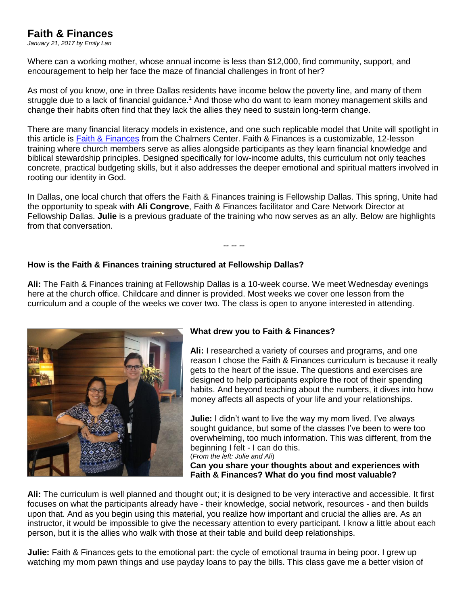# **Faith & Finances**

*January 21, 2017 by Emily Lan*

Where can a working mother, whose annual income is less than \$12,000, find community, support, and encouragement to help her face the maze of financial challenges in front of her?

As most of you know, one in three Dallas residents have income below the poverty line, and many of them struggle due to a lack of financial guidance.<sup>1</sup> And those who do want to learn money management skills and change their habits often find that they lack the allies they need to sustain long-term change.

There are many financial literacy models in existence, and one such replicable model that Unite will spotlight in this article is [Faith & Finances](https://www.chalmers.org/our-work/us-church-training/why-faith-and-finances) from the Chalmers Center. Faith & Finances is a customizable, 12-lesson training where church members serve as allies alongside participants as they learn financial knowledge and biblical stewardship principles. Designed specifically for low-income adults, this curriculum not only teaches concrete, practical budgeting skills, but it also addresses the deeper emotional and spiritual matters involved in rooting our identity in God.

In Dallas, one local church that offers the Faith & Finances training is Fellowship Dallas. This spring, Unite had the opportunity to speak with **Ali Congrove**, Faith & Finances facilitator and Care Network Director at Fellowship Dallas. **Julie** is a previous graduate of the training who now serves as an ally. Below are highlights from that conversation.

*-- -- --*

## **How is the Faith & Finances training structured at Fellowship Dallas?**

**Ali:** The Faith & Finances training at Fellowship Dallas is a 10-week course. We meet Wednesday evenings here at the church office. Childcare and dinner is provided. Most weeks we cover one lesson from the curriculum and a couple of the weeks we cover two. The class is open to anyone interested in attending.



## **What drew you to Faith & Finances?**

**Ali:** I researched a variety of courses and programs, and one reason I chose the Faith & Finances curriculum is because it really gets to the heart of the issue. The questions and exercises are designed to help participants explore the root of their spending habits. And beyond teaching about the numbers, it dives into how money affects all aspects of your life and your relationships.

**Julie:** I didn't want to live the way my mom lived. I've always sought guidance, but some of the classes I've been to were too overwhelming, too much information. This was different, from the beginning I felt - I can do this.

(*From the left: Julie and Ali*)

**Can you share your thoughts about and experiences with Faith & Finances? What do you find most valuable?** 

**Ali:** The curriculum is well planned and thought out; it is designed to be very interactive and accessible. It first focuses on what the participants already have - their knowledge, social network, resources - and then builds upon that. And as you begin using this material, you realize how important and crucial the allies are. As an instructor, it would be impossible to give the necessary attention to every participant. I know a little about each person, but it is the allies who walk with those at their table and build deep relationships.

**Julie:** Faith & Finances gets to the emotional part: the cycle of emotional trauma in being poor. I grew up watching my mom pawn things and use payday loans to pay the bills. This class gave me a better vision of